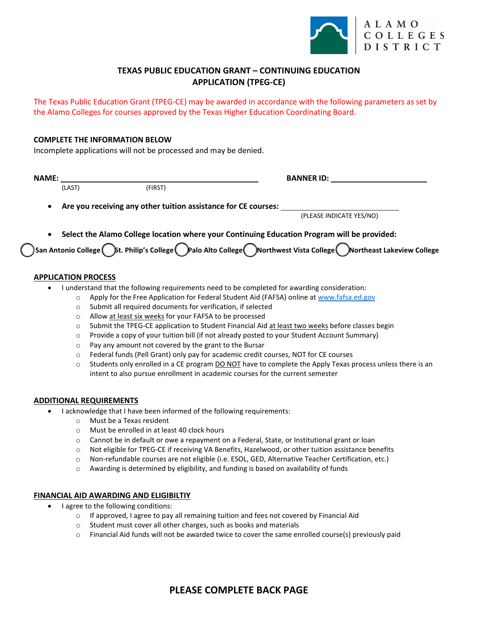

## **TEXAS PUBLIC EDUCATION GRANT – CONTINUING EDUCATION APPLICATION (TPEG-CE)**

The Texas Public Education Grant (TPEG-CE) may be awarded in accordance with the following parameters as set by the Alamo Colleges for courses approved by the Texas Higher Education Coordinating Board.

### **COMPLETE THE INFORMATION BELOW**

Incomplete applications will not be processed and may be denied.

| <b>NAME:</b> |                                                                                             |         | <b>BANNER ID:</b>                                                                                                 |  |  |  |  |
|--------------|---------------------------------------------------------------------------------------------|---------|-------------------------------------------------------------------------------------------------------------------|--|--|--|--|
|              | (LAST)                                                                                      | (FIRST) |                                                                                                                   |  |  |  |  |
| $\bullet$    | Are you receiving any other tuition assistance for CE courses:                              |         |                                                                                                                   |  |  |  |  |
|              |                                                                                             |         | (PLEASE INDICATE YES/NO)                                                                                          |  |  |  |  |
| $\bullet$    | Select the Alamo College location where your Continuing Education Program will be provided: |         |                                                                                                                   |  |  |  |  |
|              |                                                                                             |         | San Antonio College (St. Philip's College Callo Alto College CNorthwest Vista College CNortheast Lakeview College |  |  |  |  |
|              |                                                                                             |         |                                                                                                                   |  |  |  |  |

#### **APPLICATION PROCESS**

- I understand that the following requirements need to be completed for awarding consideration:
	- o Apply for the Free Application for Federal Student Aid (FAFSA) online a[t www.fafsa.ed.gov](http://www.fafsa.ed.gov/)
	- o Submit all required documents for verification, if selected
	- o Allow at least six weeks for your FAFSA to be processed
	- o Submit the TPEG-CE application to Student Financial Aid at least two weeks before classes begin
	- o Provide a copy of your tuition bill (if not already posted to your Student Account Summary)
	- o Pay any amount not covered by the grant to the Bursar
	- o Federal funds (Pell Grant) only pay for academic credit courses, NOT for CE courses
	- $\circ$  Students only enrolled in a CE program DO NOT have to complete the Apply Texas process unless there is an intent to also pursue enrollment in academic courses for the current semester

#### **ADDITIONAL REQUIREMENTS**

- I acknowledge that I have been informed of the following requirements:
	- o Must be a Texas resident
	- o Must be enrolled in at least 40 clock hours
	- o Cannot be in default or owe a repayment on a Federal, State, or Institutional grant or loan
	- o Not eligible for TPEG-CE if receiving VA Benefits, Hazelwood, or other tuition assistance benefits
	- o Non-refundable courses are not eligible (i.e. ESOL, GED, Alternative Teacher Certification, etc.)
	- o Awarding is determined by eligibility, and funding is based on availability of funds

#### **FINANCIAL AID AWARDING AND ELIGIBILTIY**

- I agree to the following conditions:
	- o If approved, I agree to pay all remaining tuition and fees not covered by Financial Aid
	- o Student must cover all other charges, such as books and materials
	- o Financial Aid funds will not be awarded twice to cover the same enrolled course(s) previously paid

# **PLEASE COMPLETE BACK PAGE**